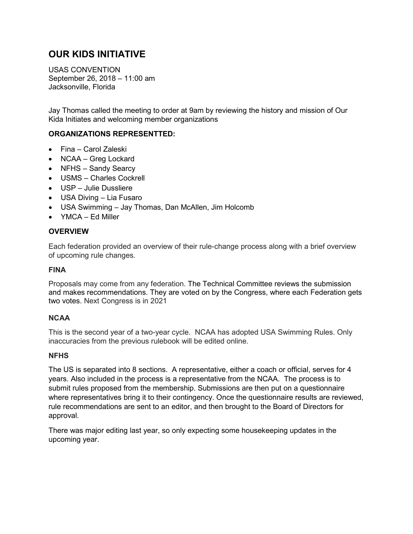# **OUR KIDS INITIATIVE**

USAS CONVENTION September 26, 2018 – 11:00 am Jacksonville, Florida

Jay Thomas called the meeting to order at 9am by reviewing the history and mission of Our Kida Initiates and welcoming member organizations

# **ORGANIZATIONS REPRESENTTED:**

- Fina Carol Zaleski
- NCAA Greg Lockard
- NFHS Sandy Searcy
- USMS Charles Cockrell
- USP Julie Dussliere
- USA Diving Lia Fusaro
- USA Swimming Jay Thomas, Dan McAllen, Jim Holcomb
- YMCA Ed Miller

### **OVERVIEW**

Each federation provided an overview of their rule-change process along with a brief overview of upcoming rule changes.

## **FINA**

Proposals may come from any federation. The Technical Committee reviews the submission and makes recommendations. They are voted on by the Congress, where each Federation gets two votes. Next Congress is in 2021

### **NCAA**

This is the second year of a two-year cycle. NCAA has adopted USA Swimming Rules. Only inaccuracies from the previous rulebook will be edited online.

### **NFHS**

The US is separated into 8 sections. A representative, either a coach or official, serves for 4 years. Also included in the process is a representative from the NCAA. The process is to submit rules proposed from the membership. Submissions are then put on a questionnaire where representatives bring it to their contingency. Once the questionnaire results are reviewed, rule recommendations are sent to an editor, and then brought to the Board of Directors for approval.

There was major editing last year, so only expecting some housekeeping updates in the upcoming year.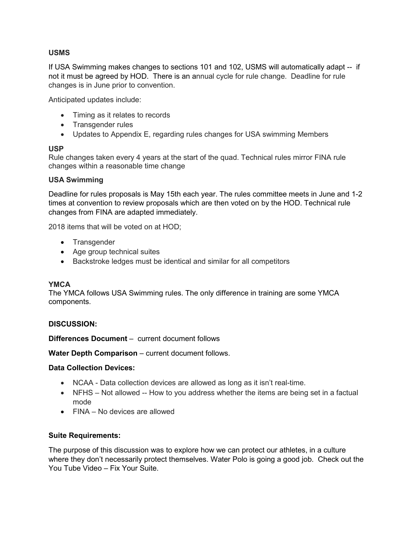# **USMS**

If USA Swimming makes changes to sections 101 and 102, USMS will automatically adapt -- if not it must be agreed by HOD. There is an annual cycle for rule change. Deadline for rule changes is in June prior to convention.

Anticipated updates include:

- Timing as it relates to records
- Transgender rules
- Updates to Appendix E, regarding rules changes for USA swimming Members

### **USP**

Rule changes taken every 4 years at the start of the quad. Technical rules mirror FINA rule changes within a reasonable time change

### **USA Swimming**

Deadline for rules proposals is May 15th each year. The rules committee meets in June and 1-2 times at convention to review proposals which are then voted on by the HOD. Technical rule changes from FINA are adapted immediately.

2018 items that will be voted on at HOD;

- Transgender
- Age group technical suites
- Backstroke ledges must be identical and similar for all competitors

#### **YMCA**

The YMCA follows USA Swimming rules. The only difference in training are some YMCA components.

### **DISCUSSION:**

**Differences Document** – current document follows

**Water Depth Comparison** – current document follows.

#### **Data Collection Devices:**

- NCAA Data collection devices are allowed as long as it isn't real-time.
- NFHS Not allowed -- How to you address whether the items are being set in a factual mode
- FINA No devices are allowed

### **Suite Requirements:**

The purpose of this discussion was to explore how we can protect our athletes, in a culture where they don't necessarily protect themselves. Water Polo is going a good job. Check out the You Tube Video – Fix Your Suite.